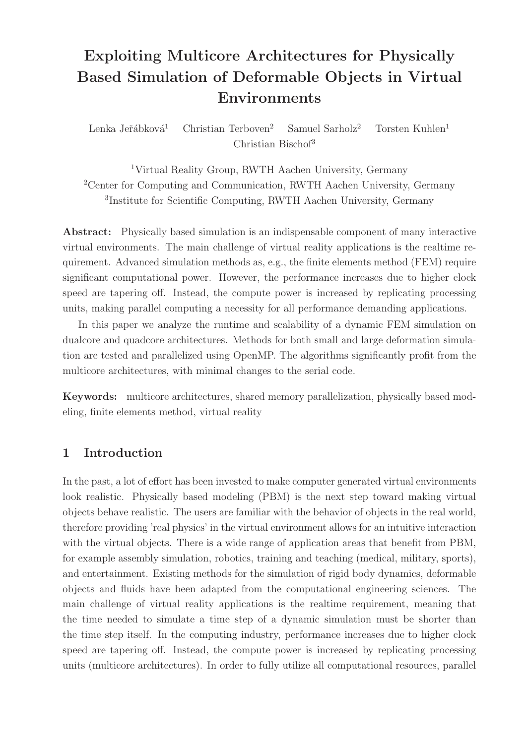# Exploiting Multicore Architectures for Physically Based Simulation of Deformable Objects in Virtual Environments

Lenka Jeřábková<sup>1</sup> Christian Terboven<sup>2</sup> Samuel Sarholz<sup>2</sup> Torsten Kuhlen<sup>1</sup> Christian Bischof<sup>3</sup>

<sup>1</sup>Virtual Reality Group, RWTH Aachen University, Germany <sup>2</sup>Center for Computing and Communication, RWTH Aachen University, Germany 3 Institute for Scientific Computing, RWTH Aachen University, Germany

Abstract: Physically based simulation is an indispensable component of many interactive virtual environments. The main challenge of virtual reality applications is the realtime requirement. Advanced simulation methods as, e.g., the finite elements method (FEM) require significant computational power. However, the performance increases due to higher clock speed are tapering off. Instead, the compute power is increased by replicating processing units, making parallel computing a necessity for all performance demanding applications.

In this paper we analyze the runtime and scalability of a dynamic FEM simulation on dualcore and quadcore architectures. Methods for both small and large deformation simulation are tested and parallelized using OpenMP. The algorithms significantly profit from the multicore architectures, with minimal changes to the serial code.

Keywords: multicore architectures, shared memory parallelization, physically based modeling, finite elements method, virtual reality

# 1 Introduction

In the past, a lot of effort has been invested to make computer generated virtual environments look realistic. Physically based modeling (PBM) is the next step toward making virtual objects behave realistic. The users are familiar with the behavior of objects in the real world, therefore providing 'real physics' in the virtual environment allows for an intuitive interaction with the virtual objects. There is a wide range of application areas that benefit from PBM, for example assembly simulation, robotics, training and teaching (medical, military, sports), and entertainment. Existing methods for the simulation of rigid body dynamics, deformable objects and fluids have been adapted from the computational engineering sciences. The main challenge of virtual reality applications is the realtime requirement, meaning that the time needed to simulate a time step of a dynamic simulation must be shorter than the time step itself. In the computing industry, performance increases due to higher clock speed are tapering off. Instead, the compute power is increased by replicating processing units (multicore architectures). In order to fully utilize all computational resources, parallel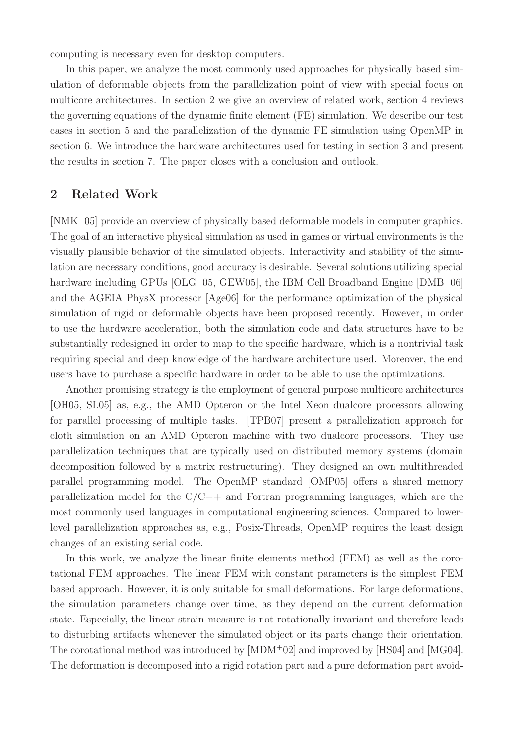computing is necessary even for desktop computers.

In this paper, we analyze the most commonly used approaches for physically based simulation of deformable objects from the parallelization point of view with special focus on multicore architectures. In section 2 we give an overview of related work, section 4 reviews the governing equations of the dynamic finite element (FE) simulation. We describe our test cases in section 5 and the parallelization of the dynamic FE simulation using OpenMP in section 6. We introduce the hardware architectures used for testing in section 3 and present the results in section 7. The paper closes with a conclusion and outlook.

#### 2 Related Work

[NMK<sup>+</sup>05] provide an overview of physically based deformable models in computer graphics. The goal of an interactive physical simulation as used in games or virtual environments is the visually plausible behavior of the simulated objects. Interactivity and stability of the simulation are necessary conditions, good accuracy is desirable. Several solutions utilizing special hardware including GPUs [OLG+05, GEW05], the IBM Cell Broadband Engine [DMB+06] and the AGEIA PhysX processor [Age06] for the performance optimization of the physical simulation of rigid or deformable objects have been proposed recently. However, in order to use the hardware acceleration, both the simulation code and data structures have to be substantially redesigned in order to map to the specific hardware, which is a nontrivial task requiring special and deep knowledge of the hardware architecture used. Moreover, the end users have to purchase a specific hardware in order to be able to use the optimizations.

Another promising strategy is the employment of general purpose multicore architectures [OH05, SL05] as, e.g., the AMD Opteron or the Intel Xeon dualcore processors allowing for parallel processing of multiple tasks. [TPB07] present a parallelization approach for cloth simulation on an AMD Opteron machine with two dualcore processors. They use parallelization techniques that are typically used on distributed memory systems (domain decomposition followed by a matrix restructuring). They designed an own multithreaded parallel programming model. The OpenMP standard [OMP05] offers a shared memory parallelization model for the  $C/C++$  and Fortran programming languages, which are the most commonly used languages in computational engineering sciences. Compared to lowerlevel parallelization approaches as, e.g., Posix-Threads, OpenMP requires the least design changes of an existing serial code.

In this work, we analyze the linear finite elements method (FEM) as well as the corotational FEM approaches. The linear FEM with constant parameters is the simplest FEM based approach. However, it is only suitable for small deformations. For large deformations, the simulation parameters change over time, as they depend on the current deformation state. Especially, the linear strain measure is not rotationally invariant and therefore leads to disturbing artifacts whenever the simulated object or its parts change their orientation. The corotational method was introduced by [MDM<sup>+</sup>02] and improved by [HS04] and [MG04]. The deformation is decomposed into a rigid rotation part and a pure deformation part avoid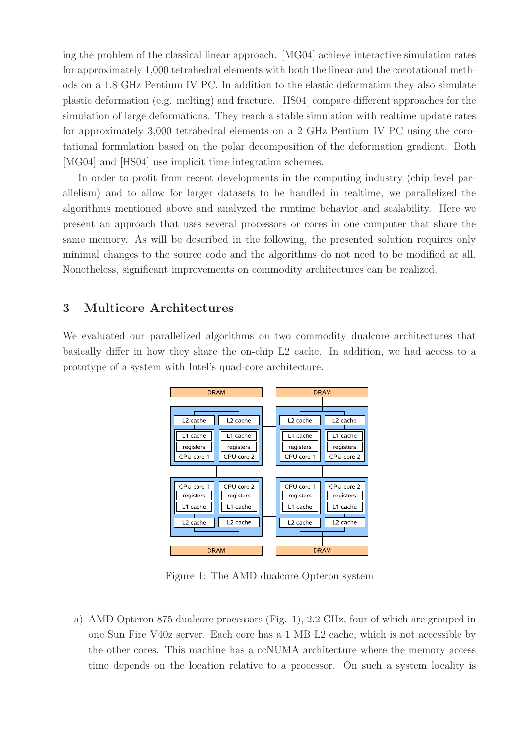ing the problem of the classical linear approach. [MG04] achieve interactive simulation rates for approximately 1,000 tetrahedral elements with both the linear and the corotational methods on a 1.8 GHz Pentium IV PC. In addition to the elastic deformation they also simulate plastic deformation (e.g. melting) and fracture. [HS04] compare different approaches for the simulation of large deformations. They reach a stable simulation with realtime update rates for approximately 3,000 tetrahedral elements on a 2 GHz Pentium IV PC using the corotational formulation based on the polar decomposition of the deformation gradient. Both [MG04] and [HS04] use implicit time integration schemes.

In order to profit from recent developments in the computing industry (chip level parallelism) and to allow for larger datasets to be handled in realtime, we parallelized the algorithms mentioned above and analyzed the runtime behavior and scalability. Here we present an approach that uses several processors or cores in one computer that share the same memory. As will be described in the following, the presented solution requires only minimal changes to the source code and the algorithms do not need to be modified at all. Nonetheless, significant improvements on commodity architectures can be realized.

## 3 Multicore Architectures

We evaluated our parallelized algorithms on two commodity dualcore architectures that basically differ in how they share the on-chip L2 cache. In addition, we had access to a prototype of a system with Intel's quad-core architecture.



Figure 1: The AMD dualcore Opteron system

a) AMD Opteron 875 dualcore processors (Fig. 1), 2.2 GHz, four of which are grouped in one Sun Fire V40z server. Each core has a 1 MB L2 cache, which is not accessible by the other cores. This machine has a ccNUMA architecture where the memory access time depends on the location relative to a processor. On such a system locality is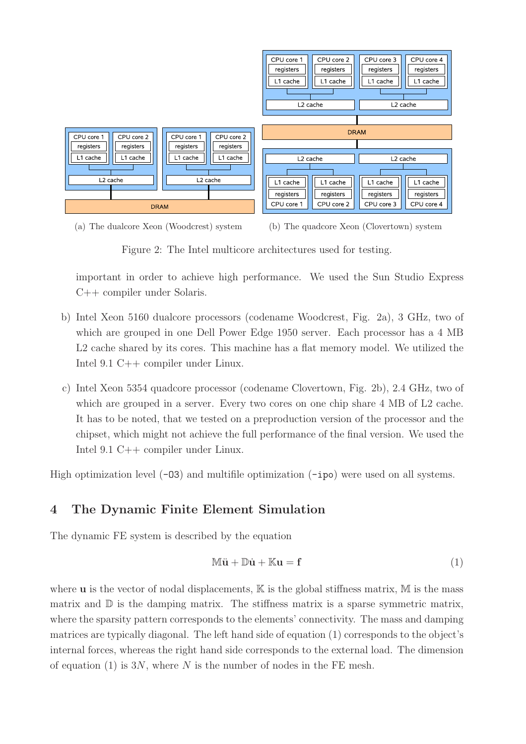





Figure 2: The Intel multicore architectures used for testing.

important in order to achieve high performance. We used the Sun Studio Express C++ compiler under Solaris.

- b) Intel Xeon 5160 dualcore processors (codename Woodcrest, Fig. 2a), 3 GHz, two of which are grouped in one Dell Power Edge 1950 server. Each processor has a 4 MB L2 cache shared by its cores. This machine has a flat memory model. We utilized the Intel 9.1 C++ compiler under Linux.
- c) Intel Xeon 5354 quadcore processor (codename Clovertown, Fig. 2b), 2.4 GHz, two of which are grouped in a server. Every two cores on one chip share 4 MB of L2 cache. It has to be noted, that we tested on a preproduction version of the processor and the chipset, which might not achieve the full performance of the final version. We used the Intel 9.1 C++ compiler under Linux.

High optimization level  $(-03)$  and multifile optimization  $(-ipo)$  were used on all systems.

## 4 The Dynamic Finite Element Simulation

The dynamic FE system is described by the equation

$$
\mathbb{M}\ddot{\mathbf{u}} + \mathbb{D}\dot{\mathbf{u}} + \mathbb{K}\mathbf{u} = \mathbf{f} \tag{1}
$$

where  $\bf{u}$  is the vector of nodal displacements,  $\bf{K}$  is the global stiffness matrix,  $\bf{M}$  is the mass matrix and  $\mathbb D$  is the damping matrix. The stiffness matrix is a sparse symmetric matrix, where the sparsity pattern corresponds to the elements' connectivity. The mass and damping matrices are typically diagonal. The left hand side of equation (1) corresponds to the object's internal forces, whereas the right hand side corresponds to the external load. The dimension of equation (1) is  $3N$ , where N is the number of nodes in the FE mesh.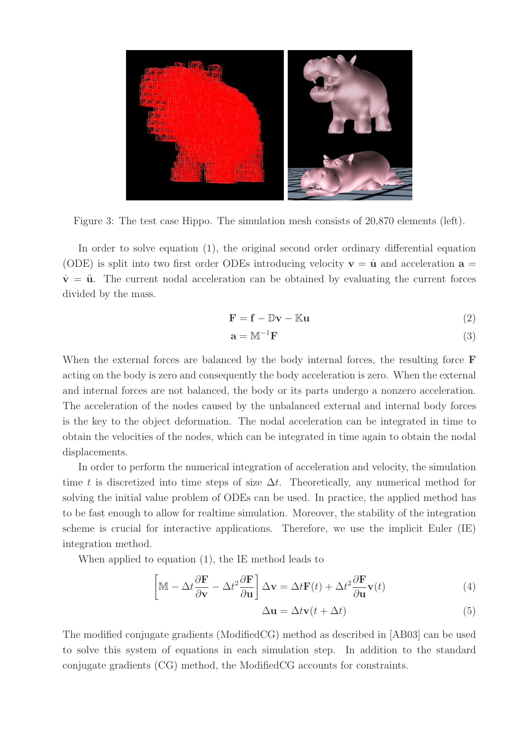

Figure 3: The test case Hippo. The simulation mesh consists of 20,870 elements (left).

In order to solve equation (1), the original second order ordinary differential equation (ODE) is split into two first order ODEs introducing velocity  $\mathbf{v} = \dot{\mathbf{u}}$  and acceleration  $\mathbf{a} =$  $\dot{v} = \ddot{u}$ . The current nodal acceleration can be obtained by evaluating the current forces divided by the mass.

$$
\mathbf{F} = \mathbf{f} - \mathbb{D}\mathbf{v} - \mathbb{K}\mathbf{u} \tag{2}
$$

$$
\mathbf{a} = \mathbb{M}^{-1} \mathbf{F} \tag{3}
$$

When the external forces are balanced by the body internal forces, the resulting force **F** acting on the body is zero and consequently the body acceleration is zero. When the external and internal forces are not balanced, the body or its parts undergo a nonzero acceleration. The acceleration of the nodes caused by the unbalanced external and internal body forces is the key to the object deformation. The nodal acceleration can be integrated in time to obtain the velocities of the nodes, which can be integrated in time again to obtain the nodal displacements.

In order to perform the numerical integration of acceleration and velocity, the simulation time t is discretized into time steps of size  $\Delta t$ . Theoretically, any numerical method for solving the initial value problem of ODEs can be used. In practice, the applied method has to be fast enough to allow for realtime simulation. Moreover, the stability of the integration scheme is crucial for interactive applications. Therefore, we use the implicit Euler (IE) integration method.

When applied to equation (1), the IE method leads to

$$
\left[\mathbb{M} - \Delta t \frac{\partial \mathbf{F}}{\partial \mathbf{v}} - \Delta t^2 \frac{\partial \mathbf{F}}{\partial \mathbf{u}}\right] \Delta \mathbf{v} = \Delta t \mathbf{F}(t) + \Delta t^2 \frac{\partial \mathbf{F}}{\partial \mathbf{u}} \mathbf{v}(t)
$$
(4)

$$
\Delta \mathbf{u} = \Delta t \mathbf{v}(t + \Delta t) \tag{5}
$$

The modified conjugate gradients (ModifiedCG) method as described in [AB03] can be used to solve this system of equations in each simulation step. In addition to the standard conjugate gradients (CG) method, the ModifiedCG accounts for constraints.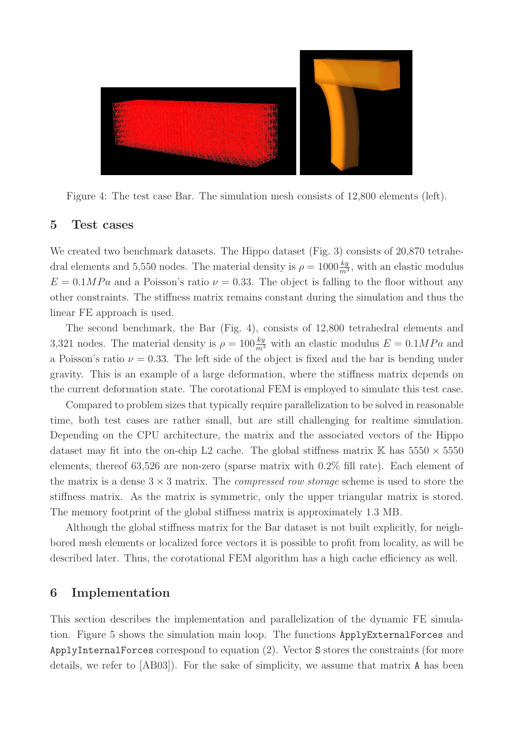

Figure 4: The test case Bar. The simulation mesh consists of 12,800 elements (left).

#### 5 Test cases

We created two benchmark datasets. The Hippo dataset (Fig. 3) consists of 20,870 tetrahedral elements and 5,550 nodes. The material density is  $\rho = 1000 \frac{kg}{m^3}$ , with an elastic modulus  $E = 0.1 MPa$  and a Poisson's ratio  $\nu = 0.33$ . The object is falling to the floor without any other constraints. The stiffness matrix remains constant during the simulation and thus the linear FE approach is used.

The second benchmark, the Bar (Fig. 4), consists of 12,800 tetrahedral elements and 3,321 nodes. The material density is  $\rho = 100 \frac{kg}{m^3}$  with an elastic modulus  $E = 0.1 MPa$  and a Poisson's ratio  $\nu = 0.33$ . The left side of the object is fixed and the bar is bending under gravity. This is an example of a large deformation, where the stiffness matrix depends on the current deformation state. The corotational FEM is employed to simulate this test case.

Compared to problem sizes that typically require parallelization to be solved in reasonable time, both test cases are rather small, but are still challenging for realtime simulation. Depending on the CPU architecture, the matrix and the associated vectors of the Hippo dataset may fit into the on-chip L2 cache. The global stiffness matrix  $\mathbb{K}$  has  $5550 \times 5550$ elements, thereof 63,526 are non-zero (sparse matrix with 0.2% fill rate). Each element of the matrix is a dense  $3 \times 3$  matrix. The *compressed row storage* scheme is used to store the stiffness matrix. As the matrix is symmetric, only the upper triangular matrix is stored. The memory footprint of the global stiffness matrix is approximately 1.3 MB.

Although the global stiffness matrix for the Bar dataset is not built explicitly, for neighbored mesh elements or localized force vectors it is possible to profit from locality, as will be described later. Thus, the corotational FEM algorithm has a high cache efficiency as well.

#### 6 Implementation

This section describes the implementation and parallelization of the dynamic FE simulation. Figure 5 shows the simulation main loop. The functions ApplyExternalForces and ApplyInternalForces correspond to equation (2). Vector S stores the constraints (for more details, we refer to [AB03]). For the sake of simplicity, we assume that matrix A has been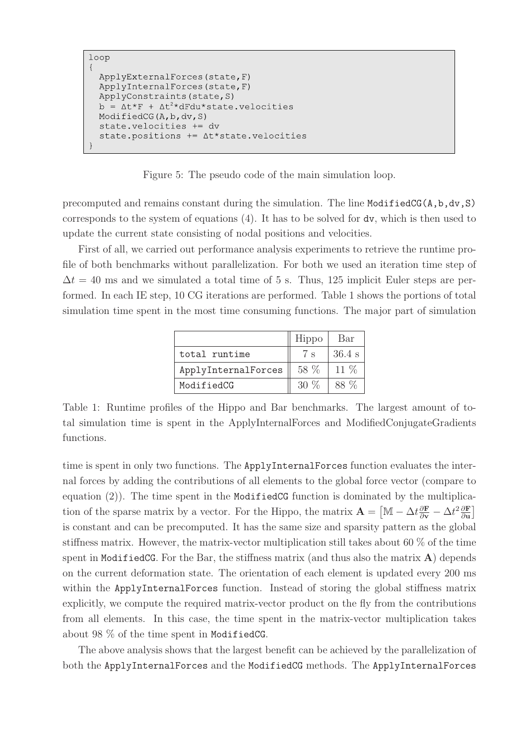```
loop
\left\{ \right.ApplyExternalForces(state, F)
  ApplyInternalForces(state, F)
  ApplyConstraints (state, S)
       \Delta t * F + \Delta t^2 * dFdu * state. velocities
  ModifiedCG(A, b, dv, S)state.velocities += dv
  state.positions += At*state.velocities
```
Figure 5: The pseudo code of the main simulation loop.

precomputed and remains constant during the simulation. The line ModifiedCG(A,b,dv,S) corresponds to the system of equations (4). It has to be solved for dv, which is then used to update the current state consisting of nodal positions and velocities.

First of all, we carried out performance analysis experiments to retrieve the runtime profile of both benchmarks without parallelization. For both we used an iteration time step of  $\Delta t = 40$  ms and we simulated a total time of 5 s. Thus, 125 implicit Euler steps are performed. In each IE step, 10 CG iterations are performed. Table 1 shows the portions of total simulation time spent in the most time consuming functions. The major part of simulation

|                     | Hippo  | Bar      |
|---------------------|--------|----------|
| total runtime       | 7 s    | $36.4$ s |
| ApplyInternalForces | 58 %   | 11 \%    |
| ModifiedCG          | $30\%$ |          |

Table 1: Runtime profiles of the Hippo and Bar benchmarks. The largest amount of total simulation time is spent in the ApplyInternalForces and ModifiedConjugateGradients functions.

time is spent in only two functions. The ApplyInternalForces function evaluates the internal forces by adding the contributions of all elements to the global force vector (compare to equation  $(2)$ ). The time spent in the ModifiedCG function is dominated by the multiplication of the sparse matrix by a vector. For the Hippo, the matrix  $\mathbf{A} = [\mathbb{M} - \Delta t \frac{\partial \mathbf{F}}{\partial v} - \Delta t^2 \frac{\partial \mathbf{F}}{\partial u}]$  $\frac{\partial {\bf F}}{\partial {\bf u}} \Big]$ is constant and can be precomputed. It has the same size and sparsity pattern as the global stiffness matrix. However, the matrix-vector multiplication still takes about 60 % of the time spent in ModifiedCG. For the Bar, the stiffness matrix (and thus also the matrix  $\bf{A}$ ) depends on the current deformation state. The orientation of each element is updated every 200 ms within the ApplyInternalForces function. Instead of storing the global stiffness matrix explicitly, we compute the required matrix-vector product on the fly from the contributions from all elements. In this case, the time spent in the matrix-vector multiplication takes about 98 % of the time spent in ModifiedCG.

The above analysis shows that the largest benefit can be achieved by the parallelization of both the ApplyInternalForces and the ModifiedCG methods. The ApplyInternalForces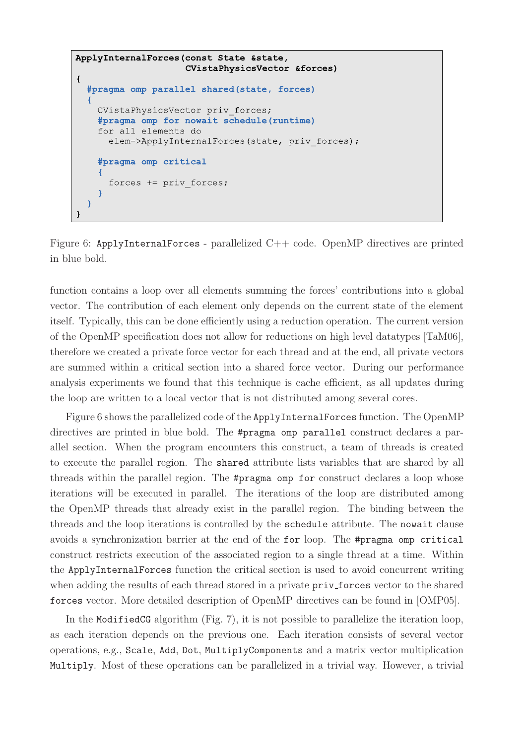```
ApplyInternalForces(const State & state,
                      CVistaPhysicsVector &forces)
\mathbf{f}#pragma omp parallel shared (state, forces)
  ł
    CVistaPhysicsVector priv forces;
    #pragma omp for nowait schedule (runtime)
    for all elements do
      elem->ApplyInternalForces(state, priv forces);
    #pragma omp critical
      forces += priv forces;
  1
\mathbf{I}
```
Figure 6: ApplyInternalForces - parallelized  $C++$  code. OpenMP directives are printed in blue bold.

function contains a loop over all elements summing the forces' contributions into a global vector. The contribution of each element only depends on the current state of the element itself. Typically, this can be done efficiently using a reduction operation. The current version of the OpenMP specification does not allow for reductions on high level datatypes [TaM06], therefore we created a private force vector for each thread and at the end, all private vectors are summed within a critical section into a shared force vector. During our performance analysis experiments we found that this technique is cache efficient, as all updates during the loop are written to a local vector that is not distributed among several cores.

Figure 6 shows the parallelized code of the ApplyInternalForces function. The OpenMP directives are printed in blue bold. The #pragma omp parallel construct declares a parallel section. When the program encounters this construct, a team of threads is created to execute the parallel region. The shared attribute lists variables that are shared by all threads within the parallel region. The #pragma omp for construct declares a loop whose iterations will be executed in parallel. The iterations of the loop are distributed among the OpenMP threads that already exist in the parallel region. The binding between the threads and the loop iterations is controlled by the schedule attribute. The nowait clause avoids a synchronization barrier at the end of the for loop. The #pragma omp critical construct restricts execution of the associated region to a single thread at a time. Within the ApplyInternalForces function the critical section is used to avoid concurrent writing when adding the results of each thread stored in a private priv forces vector to the shared forces vector. More detailed description of OpenMP directives can be found in [OMP05].

In the ModifiedCG algorithm (Fig. 7), it is not possible to parallelize the iteration loop, as each iteration depends on the previous one. Each iteration consists of several vector operations, e.g., Scale, Add, Dot, MultiplyComponents and a matrix vector multiplication Multiply. Most of these operations can be parallelized in a trivial way. However, a trivial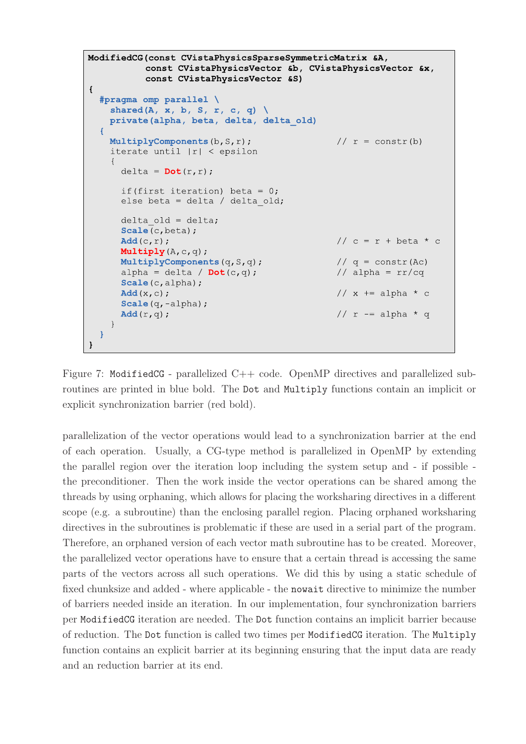```
ModifiedCG(const CVistaPhysicsSparseSymmetricMatrix &A,
            const CVistaPhysicsVector &b, CVistaPhysicsVector &x,
            const CVistaPhysicsVector &S)
\overline{\mathbf{f}}#pragma omp parallel \
    shared (A, x, b, S, r, c, q) \setminusprivate (alpha, beta, delta, delta old)
  \left\{ \right.MultiplyComponents(b, S, r);
                                                      // r = constr(b)iterate until |r| < epsilon
     \left\{ \right.delta = Dot(r, r);
       if (first iteration) beta = 0;
       else beta = delta / delta old;
       delta old = delta;Scale(c,beta);Add(c, r);// c = r + \beta + cMultiply (A, c, q);
                                                      // q = \text{constr}(\text{Ac})MultiplyComponents (q, S, q) ;
                                                      // alpha = rr/cqalpha = delta / Dot(c,q);
       Scale(c, alpha);
       Add(x, c);// x += alpha * c
       Scale (q, -alpha) ;
                                                      // r = alpha * qAdd(r, q);
     \rightarrow\mathbf{R}\mathbf{)}
```
Figure 7: ModifiedCG - parallelized C++ code. OpenMP directives and parallelized subroutines are printed in blue bold. The Dot and Multiply functions contain an implicit or explicit synchronization barrier (red bold).

parallelization of the vector operations would lead to a synchronization barrier at the end of each operation. Usually, a CG-type method is parallelized in OpenMP by extending the parallel region over the iteration loop including the system setup and - if possible the preconditioner. Then the work inside the vector operations can be shared among the threads by using orphaning, which allows for placing the worksharing directives in a different scope (e.g. a subroutine) than the enclosing parallel region. Placing orphaned worksharing directives in the subroutines is problematic if these are used in a serial part of the program. Therefore, an orphaned version of each vector math subroutine has to be created. Moreover, the parallelized vector operations have to ensure that a certain thread is accessing the same parts of the vectors across all such operations. We did this by using a static schedule of fixed chunksize and added - where applicable - the nowait directive to minimize the number of barriers needed inside an iteration. In our implementation, four synchronization barriers per ModifiedCG iteration are needed. The Dot function contains an implicit barrier because of reduction. The Dot function is called two times per ModifiedCG iteration. The Multiply function contains an explicit barrier at its beginning ensuring that the input data are ready and an reduction barrier at its end.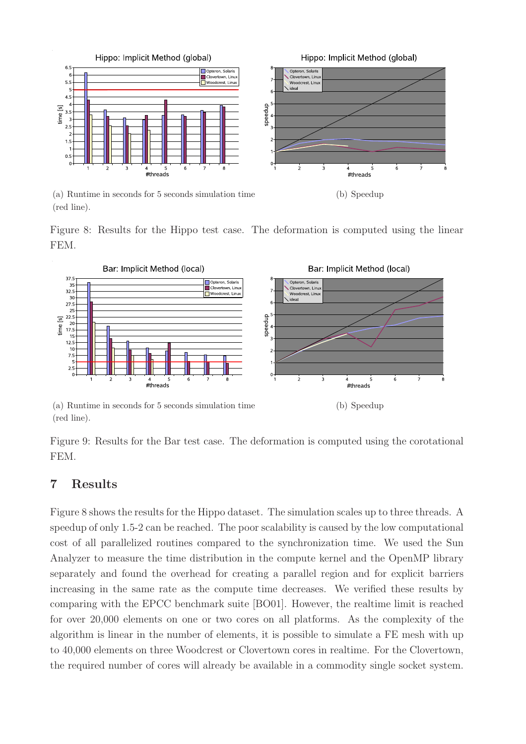

(a) Runtime in seconds for 5 seconds simulation time (red line).

Figure 8: Results for the Hippo test case. The deformation is computed using the linear FEM.



(a) Runtime in seconds for 5 seconds simulation time (red line).

(b) Speedup

Figure 9: Results for the Bar test case. The deformation is computed using the corotational FEM.

# 7 Results

Figure 8 shows the results for the Hippo dataset. The simulation scales up to three threads. A speedup of only 1.5-2 can be reached. The poor scalability is caused by the low computational cost of all parallelized routines compared to the synchronization time. We used the Sun Analyzer to measure the time distribution in the compute kernel and the OpenMP library separately and found the overhead for creating a parallel region and for explicit barriers increasing in the same rate as the compute time decreases. We verified these results by comparing with the EPCC benchmark suite [BO01]. However, the realtime limit is reached for over 20,000 elements on one or two cores on all platforms. As the complexity of the algorithm is linear in the number of elements, it is possible to simulate a FE mesh with up to 40,000 elements on three Woodcrest or Clovertown cores in realtime. For the Clovertown, the required number of cores will already be available in a commodity single socket system.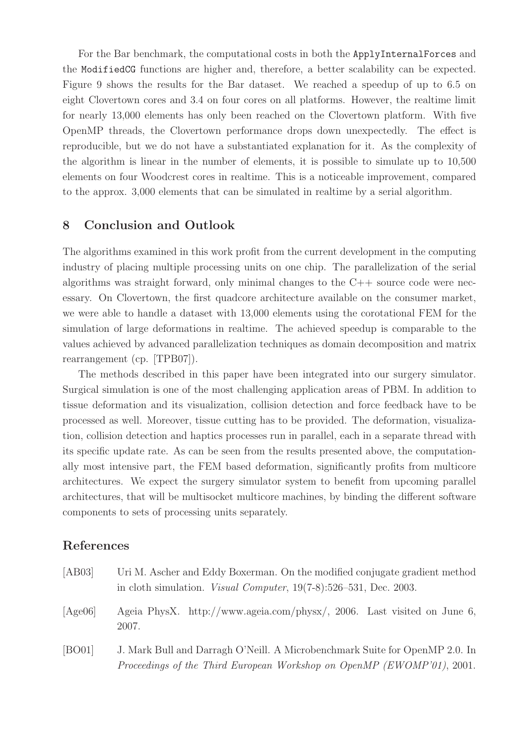For the Bar benchmark, the computational costs in both the ApplyInternalForces and the ModifiedCG functions are higher and, therefore, a better scalability can be expected. Figure 9 shows the results for the Bar dataset. We reached a speedup of up to 6.5 on eight Clovertown cores and 3.4 on four cores on all platforms. However, the realtime limit for nearly 13,000 elements has only been reached on the Clovertown platform. With five OpenMP threads, the Clovertown performance drops down unexpectedly. The effect is reproducible, but we do not have a substantiated explanation for it. As the complexity of the algorithm is linear in the number of elements, it is possible to simulate up to 10,500 elements on four Woodcrest cores in realtime. This is a noticeable improvement, compared to the approx. 3,000 elements that can be simulated in realtime by a serial algorithm.

# 8 Conclusion and Outlook

The algorithms examined in this work profit from the current development in the computing industry of placing multiple processing units on one chip. The parallelization of the serial algorithms was straight forward, only minimal changes to the  $C++$  source code were necessary. On Clovertown, the first quadcore architecture available on the consumer market, we were able to handle a dataset with 13,000 elements using the corotational FEM for the simulation of large deformations in realtime. The achieved speedup is comparable to the values achieved by advanced parallelization techniques as domain decomposition and matrix rearrangement (cp. [TPB07]).

The methods described in this paper have been integrated into our surgery simulator. Surgical simulation is one of the most challenging application areas of PBM. In addition to tissue deformation and its visualization, collision detection and force feedback have to be processed as well. Moreover, tissue cutting has to be provided. The deformation, visualization, collision detection and haptics processes run in parallel, each in a separate thread with its specific update rate. As can be seen from the results presented above, the computationally most intensive part, the FEM based deformation, significantly profits from multicore architectures. We expect the surgery simulator system to benefit from upcoming parallel architectures, that will be multisocket multicore machines, by binding the different software components to sets of processing units separately.

## References

| [AB03]           | Uri M. Ascher and Eddy Boxerman. On the modified conjugate gradient method<br>in cloth simulation. <i>Visual Computer</i> , $19(7-8):526-531$ , Dec. 2003. |
|------------------|------------------------------------------------------------------------------------------------------------------------------------------------------------|
| $[A\text{ge06}]$ | Ageia PhysX. http://www.ageia.com/physx/, 2006. Last visited on June 6,<br>2007.                                                                           |
| [BO01]           | J. Mark Bull and Darragh O'Neill. A Microbenchmark Suite for OpenMP 2.0. In<br>Proceedings of the Third European Workshop on OpenMP (EWOMP'01), 2001.      |